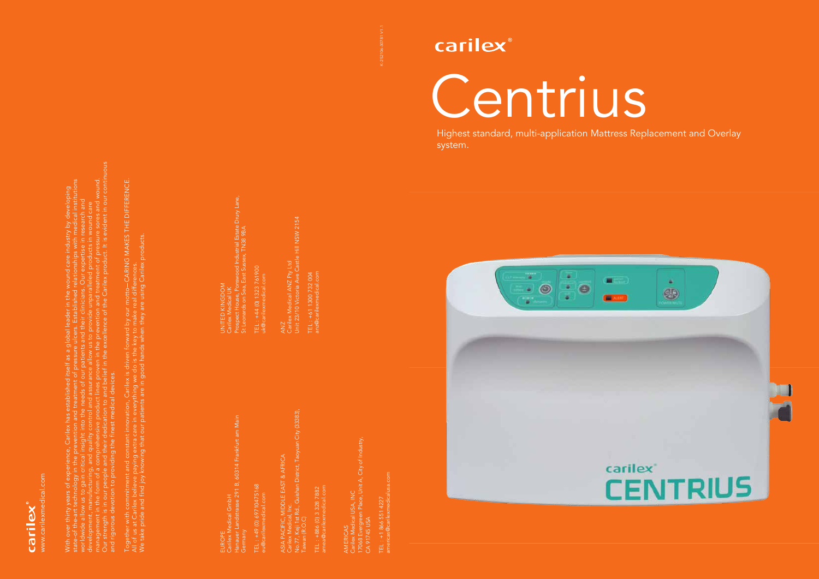K-2S2106-30781 V1.1



Centrius

carilex®

Highest standard, multi-application Mattress Replacement and Overlay system.



Together with commitment and constant innovation, Carilex is driven forward by our motto CARING MAKES THE DIFFERENCE. ward by our motto—CARING MAKES THE DIFFERENCE.<br>ay to make real differences. We take pride and find joy knowing that our patients are in good hands when they are using Carilex products. Carilex products All of us at Carilex believe paying extra care in everything we do is the key to make real differences. constant innovation, Carilex is driven

sdical GmbH<br>andstrasse 291 B, 60314 Frankfurt am Main Hanauer Landstrasse 291 B, 60314 Frankfurt am Main Carilex Medical GmbH Germany EUROPE

L : +49 (0) 69710475168<br>@carilexmedical.com TEL : +49 (0) 69710475168 eu@carilexmedical.com

EL : +886 (0) 3 328 7882<br>mea@carilexmedical.com TEL : +886 (0) 3 328 7882 amea@carilexmedical.com

Our strength is in our people and their dedication to and belief in the excellence of the Carilex product. It is evident in our continuous ent in our continuou management in the form of a comprehensive product lines proven in the prevention and treatment of pressure sores and wound. state-of the-art technology in the prevention and treatment of pressure ulcers. Established relationships with medical institutions With over thirty years of experience, Carilex has established itself as a global leader in the wound care industry by developing worldwide allow us to gain critical insight into the needs of our patients and their clinicians. Our expertise in research and development, manufacturing, and quality control and assurance allow us to provide unparalleled products in wound care itself as a global leader in the rs. Est<br>their *u*r strength is in our people and their dedication to and belie<br>d rigorous devotion to providing the finest medical devices. and rigorous devotion to providing the finest medical devices.

EL : +61 1300 732 004<br>nz@carilexmedical.com anz@carilexmedical.com TEL : +61 1300 732 004



 $(0) 1323 761900$ <br>xmedical.com TEL : +44 (0) 1323 761900 uk@carilexmedical.com

dical ANZ Pty Ltd<br>Victoria Ave Castle Hill NSW 2154 Unit 23/10 Victoria Ave Castle Hill NSW 2154 Carilex Medical ANZ Pty Ltd ANZ<br>Carilex M<br>Unit 23/1

No.77, Keji 1st Rd., Guishan District, Taoyuan City (33383), SIA PACIFIC, MIDDLE EAST & AFRICA<br>arilex Medical, Inc.<br>o.77, Keji 1st Rd., Guishan District, Taoyuan City (33383),<br>aiwan (R.O.C) ASIA PACIFIC, MIDDLE EAST & AFRICA Carilex Medical, Inc. Taiwan (R.O.C)

AMERICAS CA 91745 USA Carilex Medical USA, INC 17068 Evergreen Place, Unit A, City of Industry,

TEL : +1 866 551 4227 americas@carilexmedicalusa.com

Prospect House, Ponswood Industrial Estate Drury Lane, St Leonards on Sea, East Sussex, TN38 9BA UNITED KINGDOM Carilex Medical UK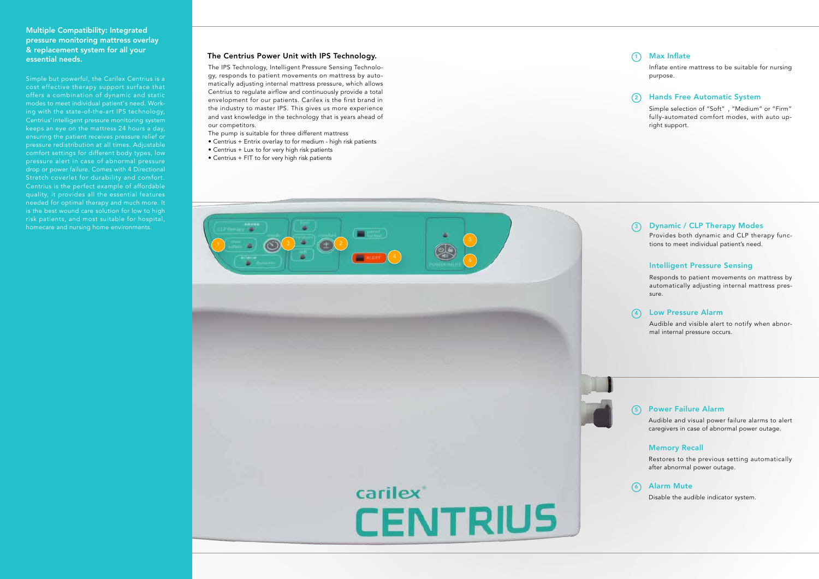### The Centrius Power Unit with IPS Technology.

The IPS Technology, Intelligent Pressure Sensing Technology, responds to patient movements on mattress by automatically adjusting internal mattress pressure, which allows Centrius to regulate airflow and continuously provide a total envelopment for our patients. Carilex is the first brand in the industry to master IPS. This gives us more experience and vast knowledge in the technology that is years ahead of our competitors.

# Dynamic / CLP Therapy Modes 1247 (2011) (3047 (414) (5146

- The pump is suitable for three different mattress
- Centrius + Entrix overlay to for medium high risk patients
- Centrius + Lux to for very high risk patients
- Centrius + FIT to for very high risk patients

### Power Failure Alarm

Audible and visual power failure alarms to alert caregivers in case of abnormal power outage.

### Memory Recall

Restores to the previous setting automatically after abnormal power outage.

# Alarm Mute

Disable the audible indicator system.

Provides both dynamic and CLP therapy func tions to meet individual patient's need.

### Intelligent Pressure Sensing

Responds to patient movements on mattress by automatically adjusting internal mattress pres sure.

### Low Pressure Alarm

Audible and visible alert to notify when abnor mal internal pressure occurs.



### Multiple Compatibility: Integrated pressure monitoring mattress overlay & replacement system for all your essential needs.

Simple but powerful, the Carilex Centrius is a cost effective therapy support surface that offers a combination of dynamic and static modes to meet individual patient 's need. Work ing with the state-of-the-art IPS technology, Centrius' intelligent pressure monitoring system keeps an eye on the mattress 24 hours a day, ensuring the patient receives pressure relief or pressure redistribution at all times. Adjustable comfort settings for different body types, low drop or power failure. Comes with 4 Directional Stretch coverlet for durability and comfort. Centrius is the perfect example of affordable needed for optimal therapy and much more. It is the best wound care solution for low to high risk patients, and most suitable for hospital,

# Max Inflate

Inflate entire mattress to be suitable for nursing purpose.

## Hands Free Automatic System

Simple selection of "Soft" , "Medium" or "Firm" fully-automated comfort modes, with auto up right support.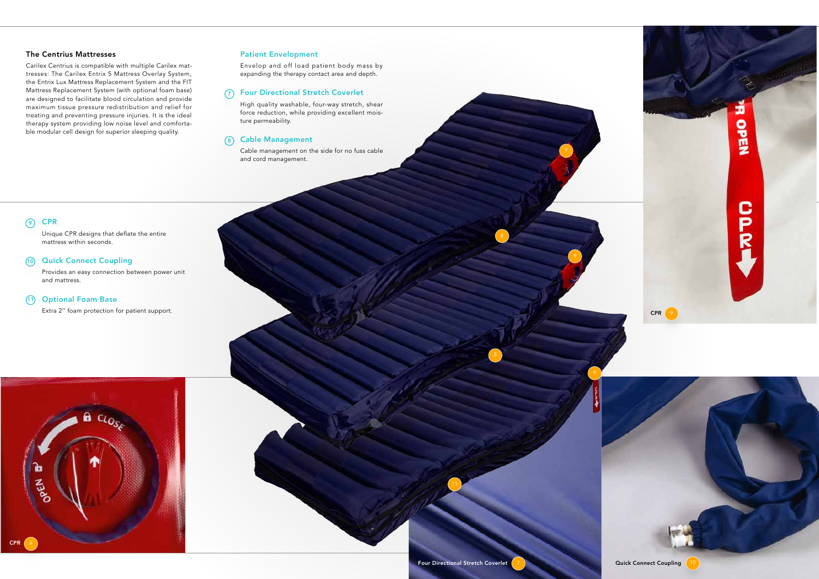### The Centrius Mattresses

Carilex Centrius is compatible with multiple Carilex mattresses: The Carilex Entrix 5 Mattress Overlay System, the Entrix Lux Mattress Replacement System and the FIT Mattress Replacement System (with optional foam base) are designed to facilitate blood circulation and provide maximum tissue pressure redistribution and relief for treating and preventing pressure injuries. It is the ideal therapy system providing low noise level and comfortable modular cell design for superior sleeping quality.

### Quick Connect Coupling  $(10)$

### Patient Envelopment

Envelop and off load patient body mass by expanding the therapy contact area and depth.

High quality washable, four-way stretch, shear force reduction, while providing excellent moisture permeability.

### 8) Cable Management

Cable management on the side for no fuss cable and cord management.

### **CPR**  $\odot$

Unique CPR designs that deflate the entire mattress within seconds.

### Four Directional Stretch Coverlet 7

Provides an easy connection between power unit and mattress.

### 11) Optional Foam Base

Extra 2" foam protection for patient support.